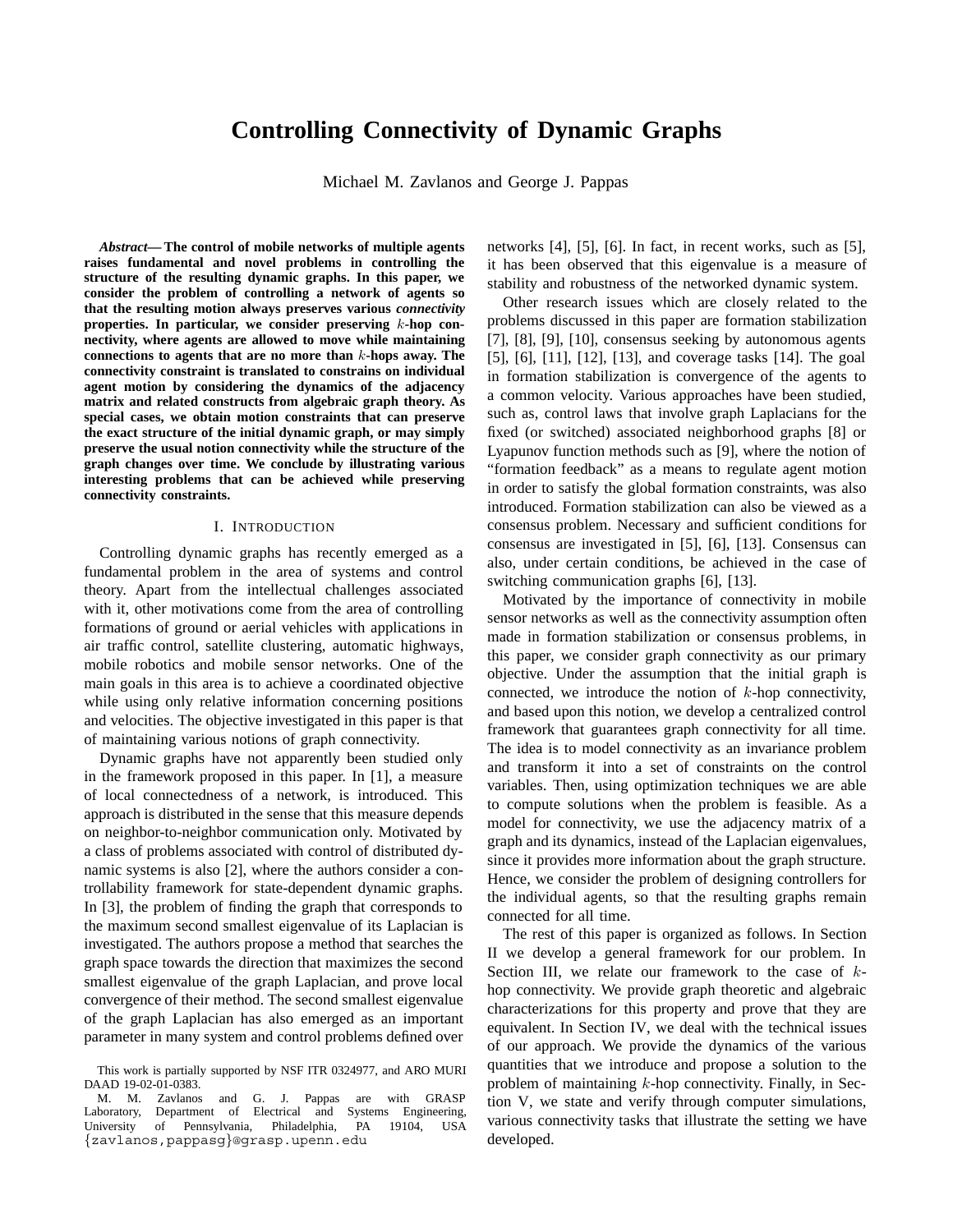# **Controlling Connectivity of Dynamic Graphs**

Michael M. Zavlanos and George J. Pappas

*Abstract***— The control of mobile networks of multiple agents raises fundamental and novel problems in controlling the structure of the resulting dynamic graphs. In this paper, we consider the problem of controlling a network of agents so that the resulting motion always preserves various** *connectivity* **properties. In particular, we consider preserving** *k***-hop connectivity, where agents are allowed to move while maintaining connections to agents that are no more than** *k***-hops away. The connectivity constraint is translated to constrains on individual agent motion by considering the dynamics of the adjacency matrix and related constructs from algebraic graph theory. As special cases, we obtain motion constraints that can preserve the exact structure of the initial dynamic graph, or may simply preserve the usual notion connectivity while the structure of the graph changes over time. We conclude by illustrating various interesting problems that can be achieved while preserving connectivity constraints.**

### I. INTRODUCTION

Controlling dynamic graphs has recently emerged as a fundamental problem in the area of systems and control theory. Apart from the intellectual challenges associated with it, other motivations come from the area of controlling formations of ground or aerial vehicles with applications in air traffic control, satellite clustering, automatic highways, mobile robotics and mobile sensor networks. One of the main goals in this area is to achieve a coordinated objective while using only relative information concerning positions and velocities. The objective investigated in this paper is that of maintaining various notions of graph connectivity.

Dynamic graphs have not apparently been studied only in the framework proposed in this paper. In [1], a measure of local connectedness of a network, is introduced. This approach is distributed in the sense that this measure depends on neighbor-to-neighbor communication only. Motivated by a class of problems associated with control of distributed dynamic systems is also [2], where the authors consider a controllability framework for state-dependent dynamic graphs. In [3], the problem of finding the graph that corresponds to the maximum second smallest eigenvalue of its Laplacian is investigated. The authors propose a method that searches the graph space towards the direction that maximizes the second smallest eigenvalue of the graph Laplacian, and prove local convergence of their method. The second smallest eigenvalue of the graph Laplacian has also emerged as an important parameter in many system and control problems defined over

networks [4], [5], [6]. In fact, in recent works, such as [5], it has been observed that this eigenvalue is a measure of stability and robustness of the networked dynamic system.

Other research issues which are closely related to the problems discussed in this paper are formation stabilization [7], [8], [9], [10], consensus seeking by autonomous agents [5], [6], [11], [12], [13], and coverage tasks [14]. The goal in formation stabilization is convergence of the agents to a common velocity. Various approaches have been studied, such as, control laws that involve graph Laplacians for the fixed (or switched) associated neighborhood graphs [8] or Lyapunov function methods such as [9], where the notion of "formation feedback" as a means to regulate agent motion in order to satisfy the global formation constraints, was also introduced. Formation stabilization can also be viewed as a consensus problem. Necessary and sufficient conditions for consensus are investigated in [5], [6], [13]. Consensus can also, under certain conditions, be achieved in the case of switching communication graphs [6], [13].

Motivated by the importance of connectivity in mobile sensor networks as well as the connectivity assumption often made in formation stabilization or consensus problems, in this paper, we consider graph connectivity as our primary objective. Under the assumption that the initial graph is connected, we introduce the notion of  $k$ -hop connectivity, and based upon this notion, we develop a centralized control framework that guarantees graph connectivity for all time. The idea is to model connectivity as an invariance problem and transform it into a set of constraints on the control variables. Then, using optimization techniques we are able to compute solutions when the problem is feasible. As a model for connectivity, we use the adjacency matrix of a graph and its dynamics, instead of the Laplacian eigenvalues, since it provides more information about the graph structure. Hence, we consider the problem of designing controllers for the individual agents, so that the resulting graphs remain connected for all time.

The rest of this paper is organized as follows. In Section II we develop a general framework for our problem. In Section III, we relate our framework to the case of  $k$ hop connectivity. We provide graph theoretic and algebraic characterizations for this property and prove that they are equivalent. In Section IV, we deal with the technical issues of our approach. We provide the dynamics of the various quantities that we introduce and propose a solution to the problem of maintaining  $k$ -hop connectivity. Finally, in Section V, we state and verify through computer simulations, various connectivity tasks that illustrate the setting we have developed.

This work is partially supported by NSF ITR 0324977, and ARO MURI DAAD 19-02-01-0383.

M. M. Zavlanos and G. J. Pappas are with GRASP Laboratory, Department of Electrical and Systems Engineering,<br>University of Pennsylvania, Philadelphia, PA 19104, USA of Pennsylvania, Philadelphia, PA *{*zavlanos,pappasg*}*@grasp.upenn.edu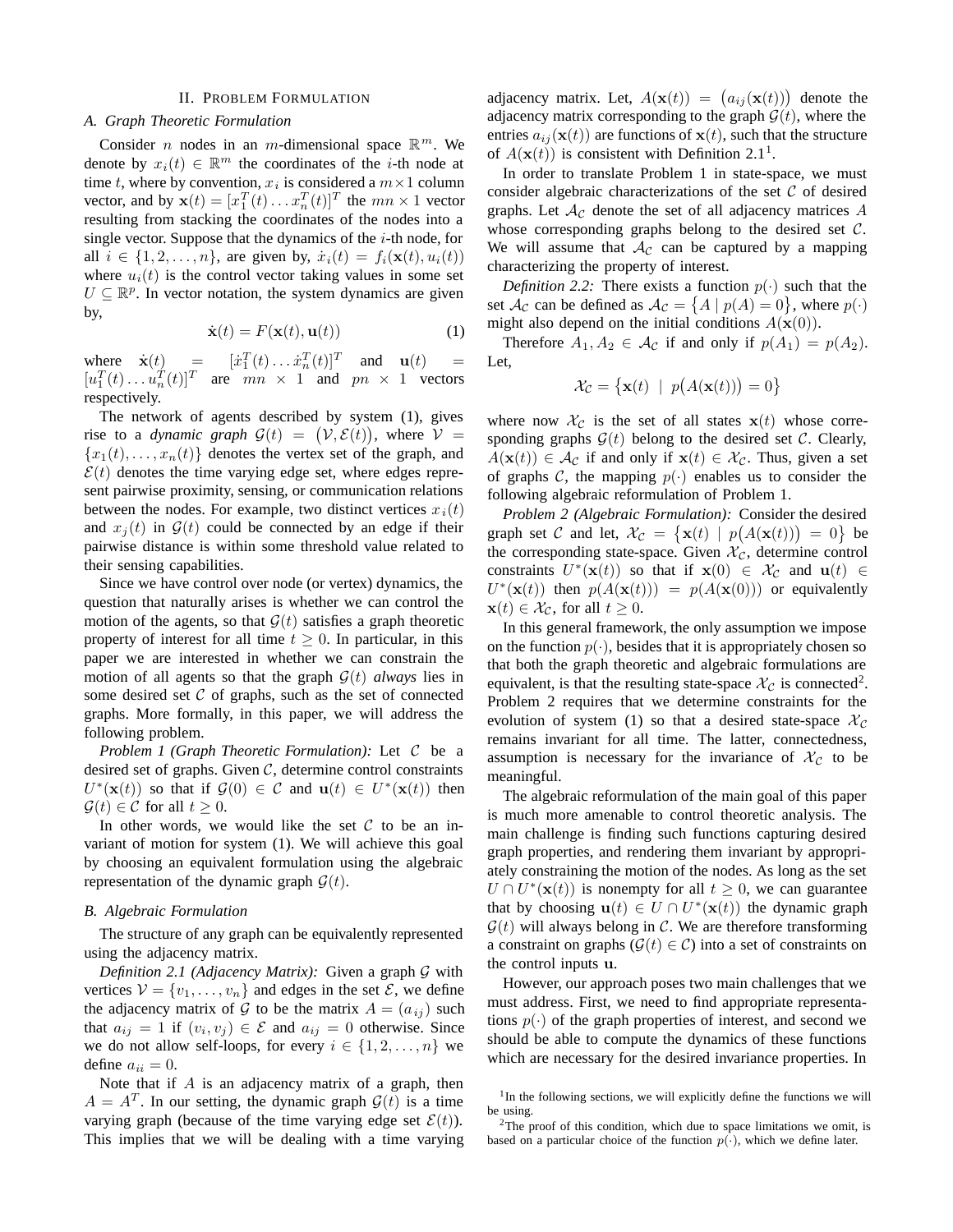### II. PROBLEM FORMULATION

### *A. Graph Theoretic Formulation*

Consider *n* nodes in an *m*-dimensional space  $\mathbb{R}^m$ . We denote by  $x_i(t) \in \mathbb{R}^m$  the coordinates of the *i*-th node at time t, where by convention,  $x_i$  is considered a  $m \times 1$  column vector, and by  $\mathbf{x}(t) = [x_1^T(t) \dots x_n^T(t)]^T$  the  $mn \times 1$  vector resulting from stacking the coordinates of the nodes into a single vector. Suppose that the dynamics of the  $i$ -th node, for all  $i \in \{1, 2, ..., n\}$ , are given by,  $\dot{x}_i(t) = f_i(\mathbf{x}(t), u_i(t))$ where  $u_i(t)$  is the control vector taking values in some set  $U \subseteq \mathbb{R}^p$ . In vector notation, the system dynamics are given by,

$$
\dot{\mathbf{x}}(t) = F(\mathbf{x}(t), \mathbf{u}(t))
$$
 (1)

where  $\dot{\mathbf{x}}(t)$  =  $[\dot{x}_1^T(t) \dots \dot{x}_n^T(t)]^T$  and  $\mathbf{u}(t)$  =  $[u_1^T(t) \dots u_n^T(t)]^T$  are  $\overline{mn} \times 1$  and  $\overline{pn} \times 1$  vectors respectively.

The network of agents described by system (1), gives rise to a *dynamic graph*  $G(t) = (V, \mathcal{E}(t))$ , where  $V =$  ${x_1(t),...,x_n(t)}$  denotes the vertex set of the graph, and  $\mathcal{E}(t)$  denotes the time varying edge set, where edges represent pairwise proximity, sensing, or communication relations between the nodes. For example, two distinct vertices  $x_i(t)$ and  $x_i(t)$  in  $\mathcal{G}(t)$  could be connected by an edge if their pairwise distance is within some threshold value related to their sensing capabilities.

Since we have control over node (or vertex) dynamics, the question that naturally arises is whether we can control the motion of the agents, so that  $G(t)$  satisfies a graph theoretic property of interest for all time  $t \geq 0$ . In particular, in this paper we are interested in whether we can constrain the motion of all agents so that the graph  $\mathcal{G}(t)$  *always* lies in some desired set  $C$  of graphs, such as the set of connected graphs. More formally, in this paper, we will address the following problem.

*Problem 1 (Graph Theoretic Formulation):* Let C be a desired set of graphs. Given  $C$ , determine control constraints  $U^*(\mathbf{x}(t))$  so that if  $\mathcal{G}(0) \in \mathcal{C}$  and  $\mathbf{u}(t) \in U^*(\mathbf{x}(t))$  then  $\mathcal{G}(t) \in \mathcal{C}$  for all  $t > 0$ .

In other words, we would like the set  $\mathcal C$  to be an invariant of motion for system (1). We will achieve this goal by choosing an equivalent formulation using the algebraic representation of the dynamic graph  $\mathcal{G}(t)$ .

#### *B. Algebraic Formulation*

The structure of any graph can be equivalently represented using the adjacency matrix.

*Definition 2.1 (Adjacency Matrix):* Given a graph G with vertices  $V = \{v_1, \ldots, v_n\}$  and edges in the set  $\mathcal{E}$ , we define the adjacency matrix of G to be the matrix  $A = (a_{ij})$  such that  $a_{ij} = 1$  if  $(v_i, v_j) \in \mathcal{E}$  and  $a_{ij} = 0$  otherwise. Since we do not allow self-loops, for every  $i \in \{1, 2, ..., n\}$  we define  $a_{ii} = 0$ .

Note that if  $A$  is an adjacency matrix of a graph, then  $A = A<sup>T</sup>$ . In our setting, the dynamic graph  $\mathcal{G}(t)$  is a time varying graph (because of the time varying edge set  $\mathcal{E}(t)$ ). This implies that we will be dealing with a time varying

adjacency matrix. Let,  $A(\mathbf{x}(t)) = (a_{ij}(\mathbf{x}(t)))$  denote the adjacency matrix corresponding to the graph  $\mathcal{G}(t)$ , where the entries  $a_{ij}(\mathbf{x}(t))$  are functions of  $\mathbf{x}(t)$ , such that the structure of  $A(\mathbf{x}(t))$  is consistent with Definition 2.1<sup>1</sup>.

In order to translate Problem 1 in state-space, we must consider algebraic characterizations of the set  $\mathcal C$  of desired graphs. Let  $\mathcal{A}_{\mathcal{C}}$  denote the set of all adjacency matrices A whose corresponding graphs belong to the desired set  $C$ . We will assume that  $A_c$  can be captured by a mapping characterizing the property of interest.

*Definition 2.2:* There exists a function  $p(\cdot)$  such that the set  $\mathcal{A}_{\mathcal{C}}$  can be defined as  $\mathcal{A}_{\mathcal{C}} = \{ A \mid p(A) = 0 \}$ , where  $p(\cdot)$ might also depend on the initial conditions  $A(\mathbf{x}(0))$ .

Therefore  $A_1, A_2 \in \mathcal{A}_{\mathcal{C}}$  if and only if  $p(A_1) = p(A_2)$ . Let,

$$
\mathcal{X}_{\mathcal{C}} = \big\{ \mathbf{x}(t) \ \mid \ p\big(A(\mathbf{x}(t))\big) = 0 \big\}
$$

where now  $\mathcal{X}_{\mathcal{C}}$  is the set of all states  $\mathbf{x}(t)$  whose corresponding graphs  $\mathcal{G}(t)$  belong to the desired set C. Clearly,  $A(\mathbf{x}(t)) \in \mathcal{A}_{\mathcal{C}}$  if and only if  $\mathbf{x}(t) \in \mathcal{X}_{\mathcal{C}}$ . Thus, given a set of graphs C, the mapping  $p(\cdot)$  enables us to consider the following algebraic reformulation of Problem 1.

*Problem 2 (Algebraic Formulation):* Consider the desired graph set C and let,  $\mathcal{X}_{\mathcal{C}} = {\mathbf{x}(t) | p(A(\mathbf{x}(t))) = 0}$  be the corresponding state-space. Given  $\mathcal{X}_{\mathcal{C}}$ , determine control constraints  $U^*(\mathbf{x}(t))$  so that if  $\mathbf{x}(0) \in \mathcal{X}_{\mathcal{C}}$  and  $\mathbf{u}(t) \in$  $U^*(\mathbf{x}(t))$  then  $p(A(\mathbf{x}(t))) = p(A(\mathbf{x}(0)))$  or equivalently  $\mathbf{x}(t) \in \mathcal{X}_{\mathcal{C}}$ , for all  $t \geq 0$ .

In this general framework, the only assumption we impose on the function  $p(\cdot)$ , besides that it is appropriately chosen so that both the graph theoretic and algebraic formulations are equivalent, is that the resulting state-space  $\mathcal{X}_{\mathcal{C}}$  is connected<sup>2</sup>. Problem 2 requires that we determine constraints for the evolution of system (1) so that a desired state-space  $\mathcal{X}_{\mathcal{C}}$ remains invariant for all time. The latter, connectedness, assumption is necessary for the invariance of  $\mathcal{X}_{\mathcal{C}}$  to be meaningful.

The algebraic reformulation of the main goal of this paper is much more amenable to control theoretic analysis. The main challenge is finding such functions capturing desired graph properties, and rendering them invariant by appropriately constraining the motion of the nodes. As long as the set  $U \cap U^*(\mathbf{x}(t))$  is nonempty for all  $t \geq 0$ , we can guarantee that by choosing  $\mathbf{u}(t) \in U \cap U^*(\mathbf{x}(t))$  the dynamic graph  $G(t)$  will always belong in C. We are therefore transforming a constraint on graphs ( $\mathcal{G}(t) \in \mathcal{C}$ ) into a set of constraints on the control inputs **u**.

However, our approach poses two main challenges that we must address. First, we need to find appropriate representations  $p(\cdot)$  of the graph properties of interest, and second we should be able to compute the dynamics of these functions which are necessary for the desired invariance properties. In

<sup>&</sup>lt;sup>1</sup>In the following sections, we will explicitly define the functions we will be using.

 $2$ The proof of this condition, which due to space limitations we omit, is based on a particular choice of the function  $p(\cdot)$ , which we define later.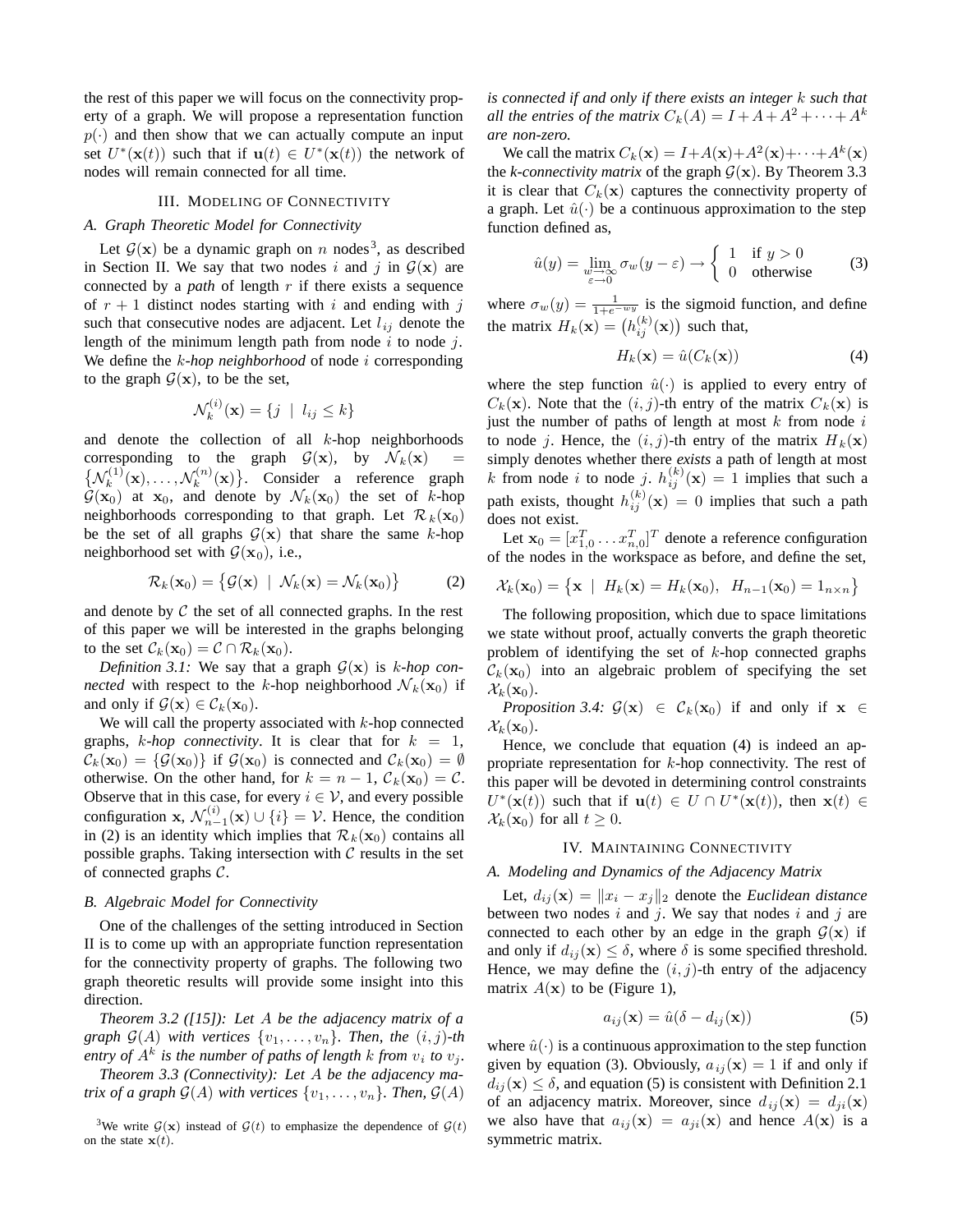the rest of this paper we will focus on the connectivity property of a graph. We will propose a representation function  $p(\cdot)$  and then show that we can actually compute an input set  $U^*(\mathbf{x}(t))$  such that if  $\mathbf{u}(t) \in U^*(\mathbf{x}(t))$  the network of nodes will remain connected for all time.

### III. MODELING OF CONNECTIVITY

### *A. Graph Theoretic Model for Connectivity*

Let  $G(\mathbf{x})$  be a dynamic graph on n nodes<sup>3</sup>, as described in Section II. We say that two nodes i and j in  $\mathcal{G}(\mathbf{x})$  are connected by a *path* of length r if there exists a sequence of  $r + 1$  distinct nodes starting with i and ending with j such that consecutive nodes are adjacent. Let  $l_{ij}$  denote the length of the minimum length path from node  $i$  to node  $j$ . We define the k*-hop neighborhood* of node i corresponding to the graph  $G(\mathbf{x})$ , to be the set,

$$
\mathcal{N}_k^{(i)}(\mathbf{x}) = \{ j \mid l_{ij} \leq k \}
$$

and denote the collection of all  $k$ -hop neighborhoods corresponding to the graph  $G(\mathbf{x})$ , by  $\mathcal{N}_k(\mathbf{x}) =$  $\{\mathcal{N}_k^{(1)}(\mathbf{x}), \ldots, \mathcal{N}_k^{(n)}(\mathbf{x})\}\)$ . Consider a reference graph  $\hat{\mathcal{G}}(\mathbf{x}_0)$  at  $\mathbf{x}_0$ , and denote by  $\mathcal{N}_k(\mathbf{x}_0)$  the set of k-hop neighborhoods corresponding to that graph. Let  $\mathcal{R}_k(\mathbf{x}_0)$ be the set of all graphs  $G(x)$  that share the same k-hop neighborhood set with  $\mathcal{G}(\mathbf{x}_0)$ , i.e.,

$$
\mathcal{R}_k(\mathbf{x}_0) = \{ \mathcal{G}(\mathbf{x}) \mid \mathcal{N}_k(\mathbf{x}) = \mathcal{N}_k(\mathbf{x}_0) \}
$$
(2)

and denote by  $C$  the set of all connected graphs. In the rest of this paper we will be interested in the graphs belonging to the set  $\mathcal{C}_k(\mathbf{x}_0) = \mathcal{C} \cap \mathcal{R}_k(\mathbf{x}_0)$ .

*Definition 3.1:* We say that a graph  $G(x)$  is *k-hop connected* with respect to the k-hop neighborhood  $\mathcal{N}_k(\mathbf{x}_0)$  if and only if  $\mathcal{G}(\mathbf{x}) \in \mathcal{C}_k(\mathbf{x}_0)$ .

We will call the property associated with  $k$ -hop connected graphs,  $k$ -hop connectivity. It is clear that for  $k = 1$ ,  $\mathcal{C}_k(\mathbf{x}_0) = \{ \mathcal{G}(\mathbf{x}_0) \}$  if  $\mathcal{G}(\mathbf{x}_0)$  is connected and  $\mathcal{C}_k(\mathbf{x}_0) = \emptyset$ otherwise. On the other hand, for  $k = n - 1$ ,  $C_k(\mathbf{x}_0) = C$ . Observe that in this case, for every  $i \in V$ , and every possible configuration **x**,  $\mathcal{N}_{n-1}^{(i)}(\mathbf{x}) \cup \{i\} = \mathcal{V}$ . Hence, the condition in (2) is an identity which implies that  $\mathcal{R}_k(\mathbf{x}_0)$  contains all possible graphs. Taking intersection with  $C$  results in the set of connected graphs C.

### *B. Algebraic Model for Connectivity*

One of the challenges of the setting introduced in Section II is to come up with an appropriate function representation for the connectivity property of graphs. The following two graph theoretic results will provide some insight into this direction.

*Theorem 3.2 ([15]): Let* A *be the adjacency matrix of a graph*  $\mathcal{G}(A)$  *with vertices*  $\{v_1, \ldots, v_n\}$ *. Then, the*  $(i, j)$ *-th entry of*  $A^k$  *is the number of paths of length k from*  $v_i$  *to*  $v_j$ *.* 

*Theorem 3.3 (Connectivity): Let* A *be the adjacency matrix of a graph*  $\mathcal{G}(A)$  *with vertices*  $\{v_1, \ldots, v_n\}$ *. Then,*  $\mathcal{G}(A)$ 

<sup>3</sup>We write  $G(\mathbf{x})$  instead of  $G(t)$  to emphasize the dependence of  $G(t)$ on the state  $\mathbf{x}(t)$ .

*is connected if and only if there exists an integer* k *such that all the entries of the matrix*  $C_k(A) = I + A + A^2 + \cdots + A^k$ *are non-zero.*

We call the matrix  $C_k(\mathbf{x}) = I + A(\mathbf{x}) + A^2(\mathbf{x}) + \cdots + A^k(\mathbf{x})$ the *k*-connectivity matrix of the graph  $G(\mathbf{x})$ . By Theorem 3.3 it is clear that  $C_k(\mathbf{x})$  captures the connectivity property of a graph. Let  $\hat{u}(\cdot)$  be a continuous approximation to the step function defined as,

$$
\hat{u}(y) = \lim_{\substack{w \to \infty \\ \varepsilon \to 0}} \sigma_w(y - \varepsilon) \to \begin{cases} 1 & \text{if } y > 0 \\ 0 & \text{otherwise} \end{cases} \tag{3}
$$

where  $\sigma_w(y) = \frac{1}{1 + e^{-wy}}$  is the sigmoid function, and define the matrix  $H_k(\mathbf{x}) = (h_{ij}^{(k)}(\mathbf{x}))$  such that,

$$
H_k(\mathbf{x}) = \hat{u}(C_k(\mathbf{x})) \tag{4}
$$

where the step function  $\hat{u}(\cdot)$  is applied to every entry of  $C_k(\mathbf{x})$ . Note that the  $(i, j)$ -th entry of the matrix  $C_k(\mathbf{x})$  is just the number of paths of length at most  $k$  from node  $i$ to node j. Hence, the  $(i, j)$ -th entry of the matrix  $H_k(\mathbf{x})$ simply denotes whether there *exists* a path of length at most k from node i to node j.  $h_{ij}^{(k)}(\mathbf{x})=1$  implies that such a path exists, thought  $h_{ij}^{(k)}(\mathbf{x})=0$  implies that such a path does not exist.

Let  $\mathbf{x}_0 = [x_{1,0}^T \dots x_{n,0}^T]^T$  denote a reference configuration of the nodes in the workspace as before, and define the set,

$$
\mathcal{X}_k(\mathbf{x}_0) = \{ \mathbf{x} \mid H_k(\mathbf{x}) = H_k(\mathbf{x}_0), \ H_{n-1}(\mathbf{x}_0) = 1_{n \times n} \}
$$

The following proposition, which due to space limitations we state without proof, actually converts the graph theoretic problem of identifying the set of  $k$ -hop connected graphs  $\mathcal{C}_k(\mathbf{x}_0)$  into an algebraic problem of specifying the set  $\mathcal{X}_k(\mathbf{x}_0)$ .

*Proposition 3.4:*  $\mathcal{G}(\mathbf{x}) \in \mathcal{C}_k(\mathbf{x}_0)$  if and only if  $\mathbf{x} \in$  $\mathcal{X}_k(\mathbf{x}_0)$ .

Hence, we conclude that equation (4) is indeed an appropriate representation for  $k$ -hop connectivity. The rest of this paper will be devoted in determining control constraints  $U^*(\mathbf{x}(t))$  such that if  $\mathbf{u}(t) \in U \cap U^*(\mathbf{x}(t))$ , then  $\mathbf{x}(t) \in$  $\mathcal{X}_k(\mathbf{x}_0)$  for all  $t \geq 0$ .

### IV. MAINTAINING CONNECTIVITY

# *A. Modeling and Dynamics of the Adjacency Matrix*

Let,  $d_{ij}(\mathbf{x}) = ||x_i - x_j||_2$  denote the *Euclidean distance* between two nodes  $i$  and  $j$ . We say that nodes  $i$  and  $j$  are connected to each other by an edge in the graph  $G(\mathbf{x})$  if and only if  $d_{ii}(\mathbf{x}) \leq \delta$ , where  $\delta$  is some specified threshold. Hence, we may define the  $(i, j)$ -th entry of the adjacency matrix  $A(x)$  to be (Figure 1),

$$
a_{ij}(\mathbf{x}) = \hat{u}(\delta - d_{ij}(\mathbf{x}))
$$
\n(5)

where  $\hat{u}(\cdot)$  is a continuous approximation to the step function given by equation (3). Obviously,  $a_{ij}(\mathbf{x})=1$  if and only if  $d_{ij}(\mathbf{x}) \leq \delta$ , and equation (5) is consistent with Definition 2.1 of an adjacency matrix. Moreover, since  $d_{ij}(\mathbf{x}) = d_{ji}(\mathbf{x})$ we also have that  $a_{ij}(\mathbf{x}) = a_{ji}(\mathbf{x})$  and hence  $A(\mathbf{x})$  is a symmetric matrix.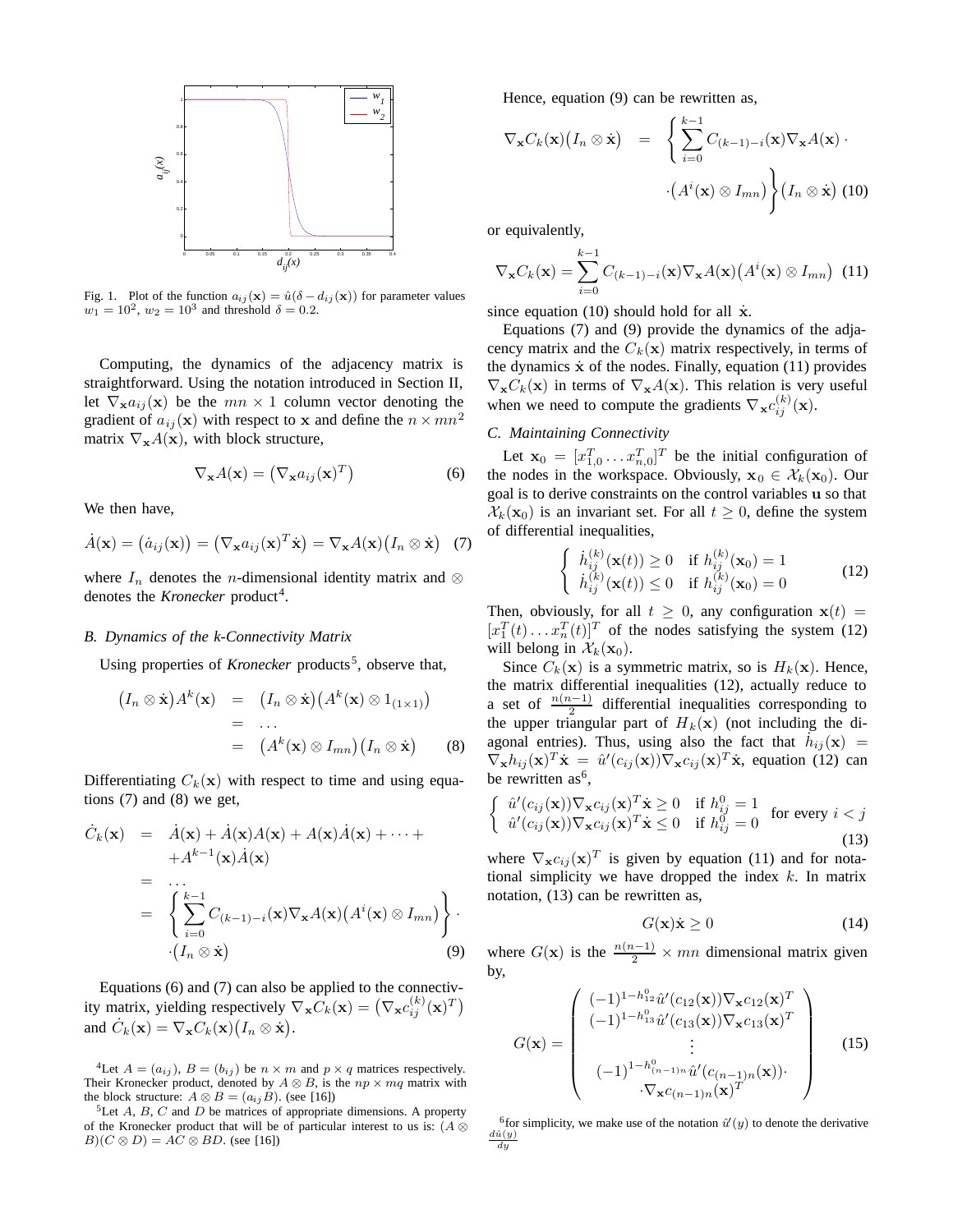

Fig. 1. Plot of the function  $a_{ij}(\mathbf{x}) = \hat{u}(\delta - d_{ij}(\mathbf{x}))$  for parameter values  $w_1 = 10^2$ ,  $w_2 = 10^3$  and threshold  $\delta = 0.2$ .

Computing, the dynamics of the adjacency matrix is straightforward. Using the notation introduced in Section II, let  $\nabla_{\mathbf{x}}a_{ij}(\mathbf{x})$  be the  $mn \times 1$  column vector denoting the gradient of  $a_{ij}(\mathbf{x})$  with respect to **x** and define the  $n \times mn^2$ matrix  $\nabla_{\mathbf{x}}A(\mathbf{x})$ , with block structure,

$$
\nabla_{\mathbf{x}} A(\mathbf{x}) = (\nabla_{\mathbf{x}} a_{ij}(\mathbf{x})^T)
$$
 (6)

We then have,

$$
\dot{A}(\mathbf{x}) = (\dot{a}_{ij}(\mathbf{x})) = (\nabla_{\mathbf{x}} a_{ij}(\mathbf{x})^T \dot{\mathbf{x}}) = \nabla_{\mathbf{x}} A(\mathbf{x}) (I_n \otimes \dot{\mathbf{x}})
$$
 (7)

where  $I_n$  denotes the *n*-dimensional identity matrix and ⊗ denotes the *Kronecker* product<sup>4</sup>.

### *B. Dynamics of the k-Connectivity Matrix*

Using properties of *Kronecker* products<sup>5</sup>, observe that,

$$
(I_n \otimes \dot{\mathbf{x}})A^k(\mathbf{x}) = (I_n \otimes \dot{\mathbf{x}})(A^k(\mathbf{x}) \otimes 1_{(1 \times 1)})
$$
  
= ...  
=  $(A^k(\mathbf{x}) \otimes I_{mn})(I_n \otimes \dot{\mathbf{x}})$  (8)

Differentiating  $C_k(\mathbf{x})$  with respect to time and using equations (7) and (8) we get,

$$
\dot{C}_k(\mathbf{x}) = \dot{A}(\mathbf{x}) + \dot{A}(\mathbf{x})A(\mathbf{x}) + A(\mathbf{x})\dot{A}(\mathbf{x}) + \cdots +
$$
  
\n
$$
+ A^{k-1}(\mathbf{x})\dot{A}(\mathbf{x})
$$
  
\n
$$
= \left\{\sum_{i=0}^{k-1} C_{(k-1)-i}(\mathbf{x}) \nabla_{\mathbf{x}} A(\mathbf{x}) \big(A^i(\mathbf{x}) \otimes I_{mn}\big)\right\} \cdot
$$
  
\n
$$
\cdot (I_n \otimes \dot{\mathbf{x}})
$$
 (9)

Equations (6) and (7) can also be applied to the connectivity matrix, yielding respectively  $\nabla_{\mathbf{x}} C_k(\mathbf{x}) = (\nabla_{\mathbf{x}} c_{ij}^{(k)}(\mathbf{x})^T)$ and  $\dot{C}_k(\mathbf{x}) = \nabla_{\mathbf{x}} C_k(\mathbf{x}) (I_n \otimes \dot{\mathbf{x}}).$ 

<sup>4</sup>Let  $A = (a_{ij})$ ,  $B = (b_{ij})$  be  $n \times m$  and  $p \times q$  matrices respectively. Their Kronecker product, denoted by  $A \otimes B$ , is the  $np \times mq$  matrix with the block structure:  $A \otimes B = (a_{ij}B)$ . (see [16])

 $5$ Let A, B, C and D be matrices of appropriate dimensions. A property of the Kronecker product that will be of particular interest to us is: ( $A \otimes$  $B(C \otimes D) = AC \otimes BD$ . (see [16])

Hence, equation (9) can be rewritten as,

$$
\nabla_{\mathbf{x}} C_k(\mathbf{x}) (I_n \otimes \dot{\mathbf{x}}) = \left\{ \sum_{i=0}^{k-1} C_{(k-1)-i}(\mathbf{x}) \nabla_{\mathbf{x}} A(\mathbf{x}) \cdot \cdot \cdot (A^i(\mathbf{x}) \otimes I_{mn}) \right\} (I_n \otimes \dot{\mathbf{x}}) (10)
$$

or equivalently,

$$
\nabla_{\mathbf{x}} C_k(\mathbf{x}) = \sum_{i=0}^{k-1} C_{(k-1)-i}(\mathbf{x}) \nabla_{\mathbf{x}} A(\mathbf{x}) \big( A^i(\mathbf{x}) \otimes I_{mn} \big) \tag{11}
$$

since equation (10) should hold for all  $\dot{x}$ .

Equations (7) and (9) provide the dynamics of the adjacency matrix and the  $C_k(\mathbf{x})$  matrix respectively, in terms of the dynamics  $\dot{x}$  of the nodes. Finally, equation (11) provides  $\nabla_{\mathbf{x}}C_k(\mathbf{x})$  in terms of  $\nabla_{\mathbf{x}}A(\mathbf{x})$ . This relation is very useful when we need to compute the gradients  $\nabla_{\mathbf{x}} c_{ij}^{(k)}(\mathbf{x})$ .

# *C. Maintaining Connectivity*

Let  $\mathbf{x}_0 = [x_{1,0}^T \dots x_{n,0}^T]^T$  be the initial configuration of the nodes in the workspace. Obviously,  $x_0 \in \mathcal{X}_k(x_0)$ . Our goal is to derive constraints on the control variables **u** so that  $\mathcal{X}_k(\mathbf{x}_0)$  is an invariant set. For all  $t \geq 0$ , define the system of differential inequalities,

$$
\begin{cases}\n\dot{h}_{ij}^{(k)}(\mathbf{x}(t)) \ge 0 & \text{if } h_{ij}^{(k)}(\mathbf{x}_0) = 1 \\
\dot{h}_{ij}^{(k)}(\mathbf{x}(t)) \le 0 & \text{if } h_{ij}^{(k)}(\mathbf{x}_0) = 0\n\end{cases}
$$
\n(12)

Then, obviously, for all  $t \geq 0$ , any configuration  $\mathbf{x}(t) =$  $[x_1^T(t)...x_n^T(t)]^T$  of the nodes satisfying the system (12) will belong in  $\mathcal{X}_k(\mathbf{x}_0)$ .

Since  $C_k(\mathbf{x})$  is a symmetric matrix, so is  $H_k(\mathbf{x})$ . Hence, the matrix differential inequalities (12), actually reduce to a set of  $\frac{n(n-1)}{2}$  differential inequalities corresponding to the upper triangular part of  $H_k(\mathbf{x})$  (not including the diagonal entries). Thus, using also the fact that  $h_{ij}(\mathbf{x}) =$  $\nabla_{\mathbf{x}} h_{ij}(\mathbf{x})^T \dot{\mathbf{x}} = \hat{u}'(c_{ij}(\mathbf{x})) \nabla_{\mathbf{x}} c_{ij}(\mathbf{x})^T \dot{\mathbf{x}}$ , equation (12) can be rewritten as<sup>6</sup>.

$$
\begin{cases} \n\hat{u}'(c_{ij}(\mathbf{x})) \nabla_{\mathbf{x}} c_{ij}(\mathbf{x})^T \dot{\mathbf{x}} \ge 0 & \text{if } h_{ij}^0 = 1 \\ \n\hat{u}'(c_{ij}(\mathbf{x})) \nabla_{\mathbf{x}} c_{ij}(\mathbf{x})^T \dot{\mathbf{x}} \le 0 & \text{if } h_{ij}^0 = 0 \n\end{cases} \text{ for every } i < j
$$
\n(13)

where  $\nabla_{\mathbf{x}^{c}i j}(\mathbf{x})^{T}$  is given by equation (11) and for notational simplicity we have dropped the index  $k$ . In matrix notation, (13) can be rewritten as,

$$
G(\mathbf{x})\dot{\mathbf{x}} \ge 0\tag{14}
$$

where  $G(\mathbf{x})$  is the  $\frac{n(n-1)}{2} \times mn$  dimensional matrix given by,

$$
G(\mathbf{x}) = \begin{pmatrix} (-1)^{1 - h_{12}^0} \hat{u}'(c_{12}(\mathbf{x})) \nabla_{\mathbf{x}} c_{12}(\mathbf{x})^T \\ (-1)^{1 - h_{13}^0} \hat{u}'(c_{13}(\mathbf{x})) \nabla_{\mathbf{x}} c_{13}(\mathbf{x})^T \\ \vdots \\ (-1)^{1 - h_{(n-1)n}^0} \hat{u}'(c_{(n-1)n}(\mathbf{x})) \\ \nabla_{\mathbf{x}} c_{(n-1)n}(\mathbf{x})^T \end{pmatrix}
$$
(15)

<sup>6</sup> for simplicity, we make use of the notation  $\hat{u}'(y)$  to denote the derivative  $d\hat{u}(y)$  $\frac{d\hat{u}(y)}{dy}$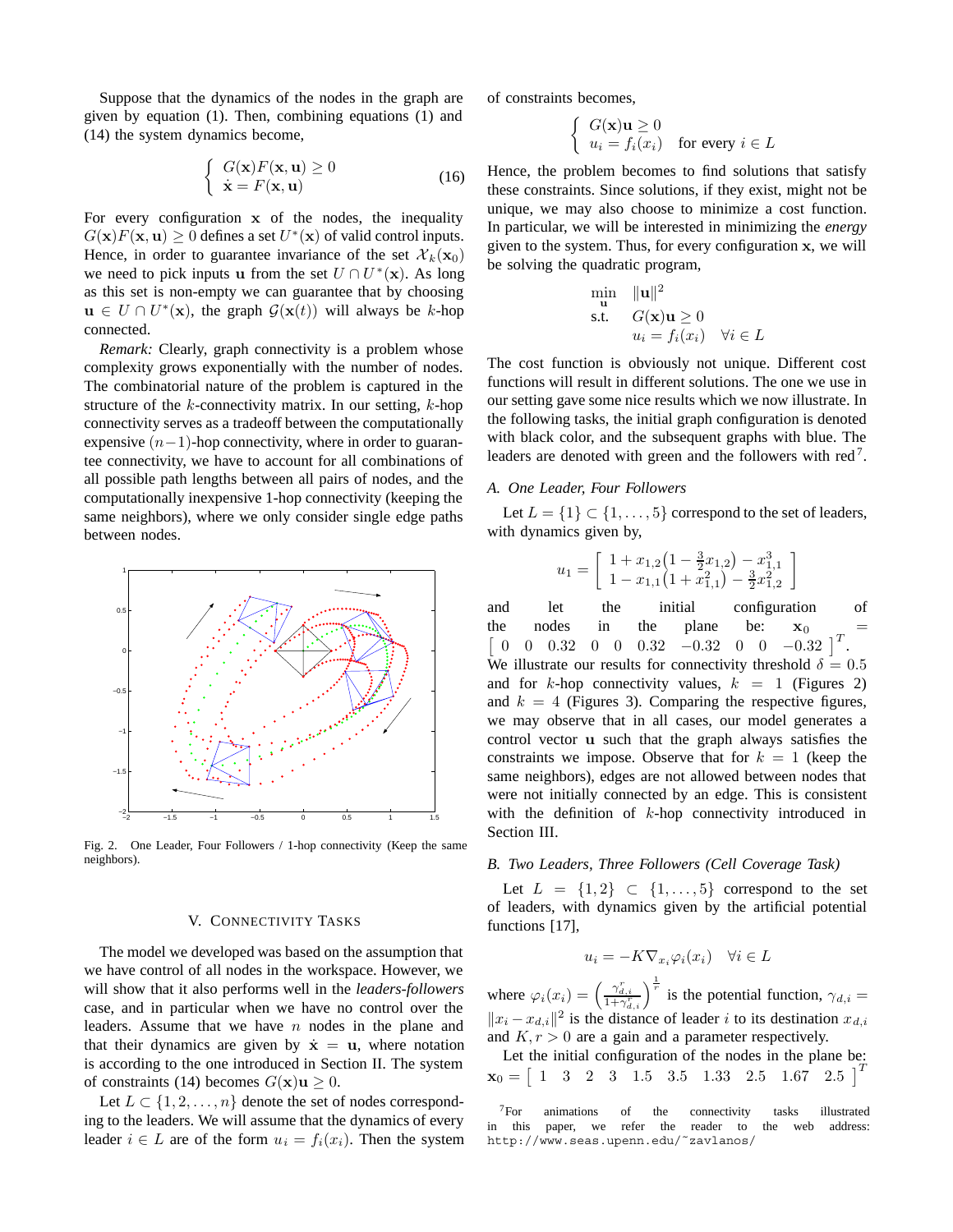Suppose that the dynamics of the nodes in the graph are given by equation (1). Then, combining equations (1) and (14) the system dynamics become,

$$
\begin{cases} G(\mathbf{x})F(\mathbf{x}, \mathbf{u}) \ge 0 \\ \dot{\mathbf{x}} = F(\mathbf{x}, \mathbf{u}) \end{cases}
$$
 (16)

For every configuration **x** of the nodes, the inequality  $G(\mathbf{x})F(\mathbf{x}, \mathbf{u}) \geq 0$  defines a set  $U^*(\mathbf{x})$  of valid control inputs. Hence, in order to guarantee invariance of the set  $\mathcal{X}_k(\mathbf{x}_0)$ we need to pick inputs **u** from the set  $U \cap U^*(\mathbf{x})$ . As long as this set is non-empty we can guarantee that by choosing  $\mathbf{u} \in U \cap U^*(\mathbf{x})$ , the graph  $\mathcal{G}(\mathbf{x}(t))$  will always be k-hop connected.

*Remark:* Clearly, graph connectivity is a problem whose complexity grows exponentially with the number of nodes. The combinatorial nature of the problem is captured in the structure of the  $k$ -connectivity matrix. In our setting,  $k$ -hop connectivity serves as a tradeoff between the computationally expensive  $(n-1)$ -hop connectivity, where in order to guarantee connectivity, we have to account for all combinations of all possible path lengths between all pairs of nodes, and the computationally inexpensive 1-hop connectivity (keeping the same neighbors), where we only consider single edge paths between nodes.



Fig. 2. One Leader, Four Followers / 1-hop connectivity (Keep the same neighbors).

## V. CONNECTIVITY TASKS

The model we developed was based on the assumption that we have control of all nodes in the workspace. However, we will show that it also performs well in the *leaders-followers* case, and in particular when we have no control over the leaders. Assume that we have  $n$  nodes in the plane and that their dynamics are given by  $\dot{x} = u$ , where notation is according to the one introduced in Section II. The system of constraints (14) becomes  $G(\mathbf{x})\mathbf{u} \geq 0$ .

Let  $L \subset \{1, 2, ..., n\}$  denote the set of nodes corresponding to the leaders. We will assume that the dynamics of every leader  $i \in L$  are of the form  $u_i = f_i(x_i)$ . Then the system of constraints becomes,

$$
\begin{cases} G(\mathbf{x})\mathbf{u} \ge 0\\ u_i = f_i(x_i) \quad \text{for every } i \in L \end{cases}
$$

Hence, the problem becomes to find solutions that satisfy these constraints. Since solutions, if they exist, might not be unique, we may also choose to minimize a cost function. In particular, we will be interested in minimizing the *energy* given to the system. Thus, for every configuration **x**, we will be solving the quadratic program,

$$
\min_{\mathbf{u}} \quad \|\mathbf{u}\|^2
$$
\n
$$
\text{s.t.} \quad G(\mathbf{x})\mathbf{u} \ge 0
$$
\n
$$
u_i = f_i(x_i) \quad \forall i \in L
$$

The cost function is obviously not unique. Different cost functions will result in different solutions. The one we use in our setting gave some nice results which we now illustrate. In the following tasks, the initial graph configuration is denoted with black color, and the subsequent graphs with blue. The leaders are denoted with green and the followers with red<sup>7</sup>.

### *A. One Leader, Four Followers*

Let  $L = \{1\} \subset \{1, \ldots, 5\}$  correspond to the set of leaders, with dynamics given by,

$$
u_1 = \left[ \begin{array}{c} 1 + x_{1,2} \left( 1 - \frac{3}{2} x_{1,2} \right) - x_{1,1}^3 \\ 1 - x_{1,1} \left( 1 + x_{1,1}^2 \right) - \frac{3}{2} x_{1,2}^2 \end{array} \right]
$$

and let the initial configuration of the nodes in the plane be:  $\mathbf{x}_0 = \begin{bmatrix} 0 & 0 & 0.32 & 0 & 0 & 0.32 & -0.32 & 0 & 0 & -0.32 \end{bmatrix}^T$ . We illustrate our results for connectivity threshold  $\delta = 0.5$ and for k-hop connectivity values,  $k = 1$  (Figures 2) and  $k = 4$  (Figures 3). Comparing the respective figures, we may observe that in all cases, our model generates a control vector **u** such that the graph always satisfies the constraints we impose. Observe that for  $k = 1$  (keep the same neighbors), edges are not allowed between nodes that were not initially connected by an edge. This is consistent with the definition of k-hop connectivity introduced in Section III.

### *B. Two Leaders, Three Followers (Cell Coverage Task)*

Let  $L = \{1, 2\} \subset \{1, \ldots, 5\}$  correspond to the set of leaders, with dynamics given by the artificial potential functions [17],

$$
u_i = -K \nabla_{x_i} \varphi_i(x_i) \quad \forall i \in L
$$

where  $\varphi_i(x_i) = \left(\frac{\gamma_{d,i}^r}{1+\gamma_{d,i}^r}\right)^{\frac{1}{r}}$  is the potential function,  $\gamma_{d,i} =$  $||x_i - x_{d,i}||^2$  is the distance of leader i to its destination  $x_{d,i}$ and  $K, r > 0$  are a gain and a parameter respectively.

Let the initial configuration of the nodes in the plane be:  $\mathbf{x}_0 = \begin{bmatrix} 1 & 3 & 2 & 3 & 1.5 & 3.5 & 1.33 & 2.5 & 1.67 & 2.5 \end{bmatrix}$ 

<sup>&</sup>lt;sup>7</sup>For animations of the connectivity tasks illustrated<br>in this paper we refer the reader to the web address: paper, we refer the reader to the web address: http://www.seas.upenn.edu/˜zavlanos/